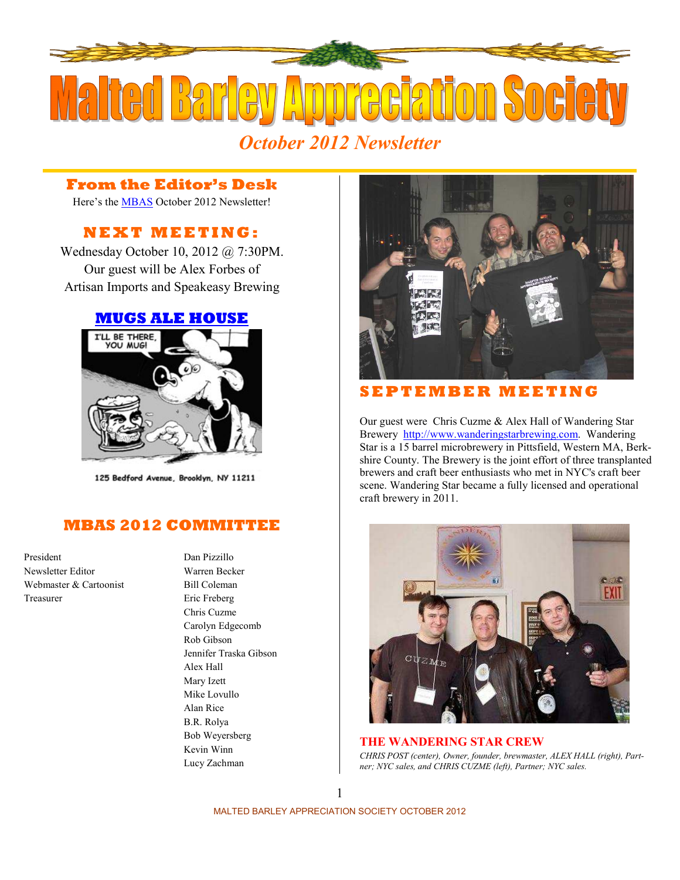

#### **From the Editor's Desk**

Here's the [MBAS](http://hbd.org/mbas) October 2012 Newsletter!

### **N E X T M E E T I N G :**

Wednesday October 10, 2012 @ 7:30PM. Our guest will be Alex Forbes of Artisan Imports and Speakeasy Brewing

#### **[MUGS ALE HOUSE](http://www.mugsalehouse.com/)**



125 Bedford Avenue, Brooklyn, NY 11211

#### **MBAS 2012 COMMITTEE**

President Dan Pizzillo Newsletter Editor Warren Becker Webmaster & Cartoonist Bill Coleman Treasurer Eric Freberg

Chris Cuzme Carolyn Edgecomb Rob Gibson Jennifer Traska Gibson Alex Hall Mary Izett Mike Lovullo Alan Rice B.R. Rolya Bob Weyersberg Kevin Winn Lucy Zachman



#### **S E P T E M B E R M E E T I N G**

Our guest were Chris Cuzme & Alex Hall of Wandering Star Brewery [http://www.wanderingstarbrewing.com](http://www.wanderingstarbrewing.com/). Wandering Star is a 15 barrel microbrewery in Pittsfield, Western MA, Berkshire County. The Brewery is the joint effort of three transplanted brewers and craft beer enthusiasts who met in NYC's craft beer scene. Wandering Star became a fully licensed and operational craft brewery in 2011.



**THE WANDERING STAR CREW** *CHRIS POST (center), Owner, founder, brewmaster, ALEX HALL (right), Partner; NYC sales, and CHRIS CUZME (left), Partner; NYC sales.*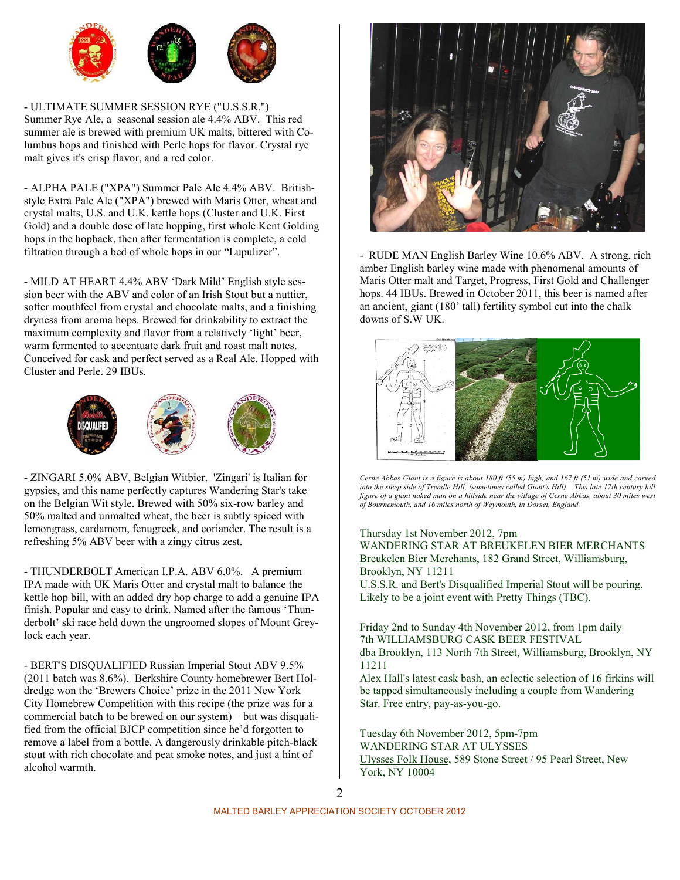

- ULTIMATE SUMMER SESSION RYE ("U.S.S.R.") Summer Rye Ale, a seasonal session ale 4.4% ABV. This red summer ale is brewed with premium UK malts, bittered with Columbus hops and finished with Perle hops for flavor. Crystal rye malt gives it's crisp flavor, and a red color.

- ALPHA PALE ("XPA") Summer Pale Ale 4.4% ABV. Britishstyle Extra Pale Ale ("XPA") brewed with Maris Otter, wheat and crystal malts, U.S. and U.K. kettle hops (Cluster and U.K. First Gold) and a double dose of late hopping, first whole Kent Golding hops in the hopback, then after fermentation is complete, a cold filtration through a bed of whole hops in our "Lupulizer".

- MILD AT HEART 4.4% ABV 'Dark Mild' English style session beer with the ABV and color of an Irish Stout but a nuttier, softer mouthfeel from crystal and chocolate malts, and a finishing dryness from aroma hops. Brewed for drinkability to extract the maximum complexity and flavor from a relatively 'light' beer, warm fermented to accentuate dark fruit and roast malt notes. Conceived for cask and perfect served as a Real Ale. Hopped with Cluster and Perle. 29 IBUs.



- ZINGARI 5.0% ABV, Belgian Witbier. 'Zingari' is Italian for gypsies, and this name perfectly captures Wandering Star's take on the Belgian Wit style. Brewed with 50% six-row barley and 50% malted and unmalted wheat, the beer is subtly spiced with lemongrass, cardamom, fenugreek, and coriander. The result is a refreshing 5% ABV beer with a zingy citrus zest.

- THUNDERBOLT American I.P.A. ABV 6.0%. A premium IPA made with UK Maris Otter and crystal malt to balance the kettle hop bill, with an added dry hop charge to add a genuine IPA finish. Popular and easy to drink. Named after the famous 'Thunderbolt' ski race held down the ungroomed slopes of Mount Greylock each year.

- BERT'S DISQUALIFIED Russian Imperial Stout ABV 9.5% (2011 batch was 8.6%). Berkshire County homebrewer Bert Holdredge won the 'Brewers Choice' prize in the 2011 New York City Homebrew Competition with this recipe (the prize was for a commercial batch to be brewed on our system) – but was disqualified from the official BJCP competition since he'd forgotten to remove a label from a bottle. A dangerously drinkable pitch-black stout with rich chocolate and peat smoke notes, and just a hint of alcohol warmth.



- RUDE MAN English Barley Wine 10.6% ABV. A strong, rich amber English barley wine made with phenomenal amounts of Maris Otter malt and Target, Progress, First Gold and Challenger hops. 44 IBUs. Brewed in October 2011, this beer is named after an ancient, giant (180' tall) fertility symbol cut into the chalk downs of S.W UK.



*Cerne Abbas Giant is a figure is about 180 ft (55 m) high, and 167 ft (51 m) wide and carved into the steep side of Trendle Hill, (sometimes called Giant's Hill). This late 17th century hill figure of a giant naked man on a hillside near the village of Cerne Abbas, about 30 miles west of Bournemouth, and 16 miles north of Weymouth, in Dorset, England.* 

#### Thursday 1st November 2012, 7pm

WANDERING STAR AT BREUKELEN BIER MERCHANTS [Breukelen Bier Merchants,](http://breukelenbiermerchants.com/) 182 Grand Street, Williamsburg, Brooklyn, NY 11211

U.S.S.R. and Bert's Disqualified Imperial Stout will be pouring. Likely to be a joint event with Pretty Things (TBC).

Friday 2nd to Sunday 4th November 2012, from 1pm daily 7th WILLIAMSBURG CASK BEER FESTIVAL [dba Brooklyn,](http://www.gotham-imbiber.com/7williamsburg.pdf) 113 North 7th Street, Williamsburg, Brooklyn, NY 11211

Alex Hall's latest cask bash, an eclectic selection of 16 firkins will be tapped simultaneously including a couple from Wandering Star. Free entry, pay-as-you-go.

Tuesday 6th November 2012, 5pm-7pm WANDERING STAR AT ULYSSES [Ulysses Folk House,](http://ulyssesfolkhouse.com/) 589 Stone Street / 95 Pearl Street, New York, NY 10004